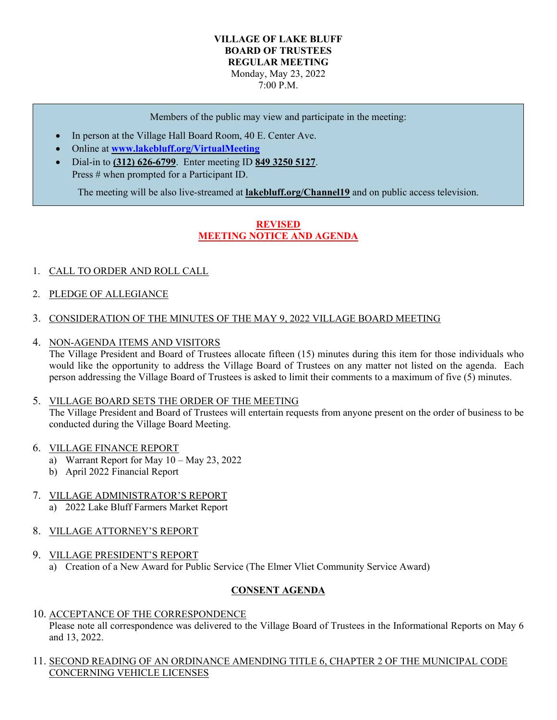### **VILLAGE OF LAKE BLUFF BOARD OF TRUSTEES REGULAR MEETING** Monday, May 23, 2022 7:00 P.M.

Members of the public may view and participate in the meeting:

- In person at the Village Hall Board Room, 40 E. Center Ave.
- Online at **[www.lakebluff.org/VirtualMeeting](http://www.lakebluff.org/VirtualMeeting)**
- Dial-in to **(312) 626-6799**. Enter meeting ID **849 3250 5127**. Press # when prompted for a Participant ID.

The meeting will be also live-streamed at **lakebluff.org/Channel19** and on public access television.

# **REVISED MEETING NOTICE AND AGENDA**

### 1. CALL TO ORDER AND ROLL CALL

- 2. PLEDGE OF ALLEGIANCE
- 3. CONSIDERATION OF THE MINUTES OF THE MAY 9, 2022 VILLAGE BOARD MEETING
- 4. NON-AGENDA ITEMS AND VISITORS

The Village President and Board of Trustees allocate fifteen (15) minutes during this item for those individuals who would like the opportunity to address the Village Board of Trustees on any matter not listed on the agenda. Each person addressing the Village Board of Trustees is asked to limit their comments to a maximum of five (5) minutes.

#### 5. VILLAGE BOARD SETS THE ORDER OF THE MEETING

The Village President and Board of Trustees will entertain requests from anyone present on the order of business to be conducted during the Village Board Meeting.

- 6. VILLAGE FINANCE REPORT
	- a) Warrant Report for May 10 May 23, 2022
	- b) April 2022 Financial Report

# 7. VILLAGE ADMINISTRATOR'S REPORT

a) 2022 Lake Bluff Farmers Market Report

# 8. VILLAGE ATTORNEY'S REPORT

9. VILLAGE PRESIDENT'S REPORT a) Creation of a New Award for Public Service (The Elmer Vliet Community Service Award)

# **CONSENT AGENDA**

- 10. ACCEPTANCE OF THE CORRESPONDENCE Please note all correspondence was delivered to the Village Board of Trustees in the Informational Reports on May 6 and 13, 2022.
- 11. SECOND READING OF AN ORDINANCE AMENDING TITLE 6, CHAPTER 2 OF THE MUNICIPAL CODE CONCERNING VEHICLE LICENSES